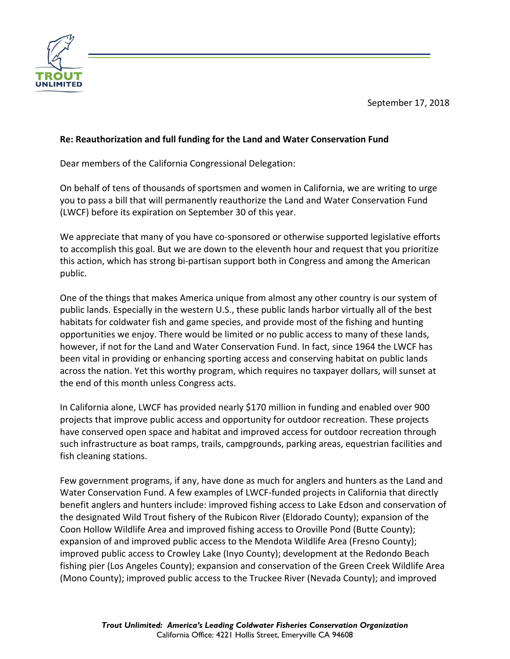

## **Re: Reauthorization and full funding for the Land and Water Conservation Fund**

Dear members of the California Congressional Delegation:

On behalf of tens of thousands of sportsmen and women in California, we are writing to urge you to pass a bill that will permanently reauthorize the Land and Water Conservation Fund (LWCF) before its expiration on September 30 of this year.

We appreciate that many of you have co-sponsored or otherwise supported legislative efforts to accomplish this goal. But we are down to the eleventh hour and request that you prioritize this action, which has strong bi‐partisan support both in Congress and among the American public.

One of the things that makes America unique from almost any other country is our system of public lands. Especially in the western U.S., these public lands harbor virtually all of the best habitats for coldwater fish and game species, and provide most of the fishing and hunting opportunities we enjoy. There would be limited or no public access to many of these lands, however, if not for the Land and Water Conservation Fund. In fact, since 1964 the LWCF has been vital in providing or enhancing sporting access and conserving habitat on public lands across the nation. Yet this worthy program, which requires no taxpayer dollars, will sunset at the end of this month unless Congress acts.

In California alone, LWCF has provided nearly \$170 million in funding and enabled over 900 projects that improve public access and opportunity for outdoor recreation. These projects have conserved open space and habitat and improved access for outdoor recreation through such infrastructure as boat ramps, trails, campgrounds, parking areas, equestrian facilities and fish cleaning stations.

Few government programs, if any, have done as much for anglers and hunters as the Land and Water Conservation Fund. A few examples of LWCF-funded projects in California that directly benefit anglers and hunters include: improved fishing access to Lake Edson and conservation of the designated Wild Trout fishery of the Rubicon River (Eldorado County); expansion of the Coon Hollow Wildlife Area and improved fishing access to Oroville Pond (Butte County); expansion of and improved public access to the Mendota Wildlife Area (Fresno County); improved public access to Crowley Lake (Inyo County); development at the Redondo Beach fishing pier (Los Angeles County); expansion and conservation of the Green Creek Wildlife Area (Mono County); improved public access to the Truckee River (Nevada County); and improved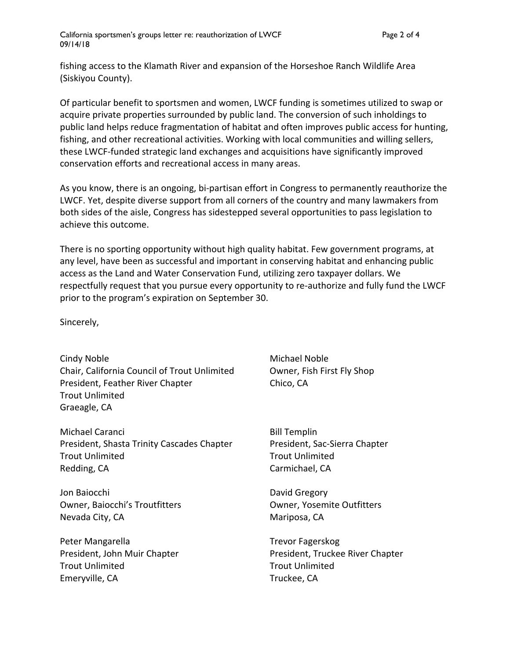California sportsmen's groups letter re: reauthorization of LWCF example 2 of 4 09/14/18

fishing access to the Klamath River and expansion of the Horseshoe Ranch Wildlife Area (Siskiyou County).

Of particular benefit to sportsmen and women, LWCF funding is sometimes utilized to swap or acquire private properties surrounded by public land. The conversion of such inholdings to public land helps reduce fragmentation of habitat and often improves public access for hunting, fishing, and other recreational activities. Working with local communities and willing sellers, these LWCF‐funded strategic land exchanges and acquisitions have significantly improved conservation efforts and recreational access in many areas.

As you know, there is an ongoing, bi-partisan effort in Congress to permanently reauthorize the LWCF. Yet, despite diverse support from all corners of the country and many lawmakers from both sides of the aisle, Congress has sidestepped several opportunities to pass legislation to achieve this outcome.

There is no sporting opportunity without high quality habitat. Few government programs, at any level, have been as successful and important in conserving habitat and enhancing public access as the Land and Water Conservation Fund, utilizing zero taxpayer dollars. We respectfully request that you pursue every opportunity to re-authorize and fully fund the LWCF prior to the program's expiration on September 30.

Sincerely,

Cindy Noble **Cindy Noble** *Michael Noble* Chair, California Council of Trout Unlimited Owner, Fish First Fly Shop President, Feather River Chapter **1998** Chico, CA Trout Unlimited Graeagle, CA

Michael Caranci **Bill Templin** President, Shasta Trinity Cascades Chapter President, Sac‐Sierra Chapter Trout Unlimited Trout Unlimited Redding, CA Carmichael, CA

Jon Baiocchi David Gregory Owner, Baiocchi's Troutfitters Owner, Yosemite Outfitters Nevada City, CA Mariposa, CA

Peter Mangarella Trevor Fagerskog Trout Unlimited Trout Unlimited Emeryville, CA Truckee, CA

President, John Muir Chapter **Breef and Truckee River Chapter** President, Truckee River Chapter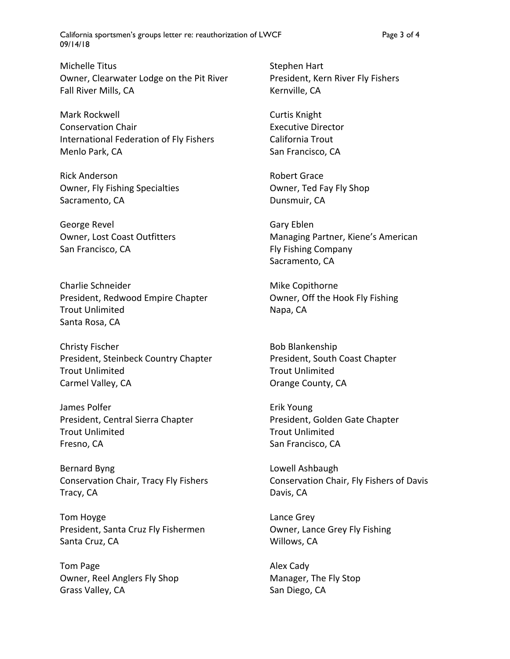California sportsmen's groups letter re: reauthorization of LWCF Page 3 of 4 09/14/18

Michelle Titus **Contains a Stephen Hart** Owner, Clearwater Lodge on the Pit River President, Kern River Fly Fishers Fall River Mills, CA Kernville, CA

Mark Rockwell **Mark Rockwell** *Mark Rockwell Curtis Knight* Conservation Chair Executive Director International Federation of Fly Fishers California Trout Menlo Park, CA San Francisco, CA

Rick Anderson **Rick Anderson Robert Grace** Owner, Fly Fishing Specialties **Solution Containst Council** Council Council Council Council Council Council Council Council Council Council Council Council Council Council Council Council Council Council Council Council C Sacramento, CA Dunsmuir, CA

George Revel **George Revel Cancer Contract Contract Contract Contract Contract Contract Contract Contract Contract Contract Contract Contract Contract Contract Contract Contract Contract Contract Contract Contract Contra** San Francisco, CA **Example 20 In the San Francisco, CA Fig. 5** Fig. Fishing Company

Charlie Schneider **Mike Copithorne** President, Redwood Empire Chapter **Chapter** Owner, Off the Hook Fly Fishing Trout Unlimited Napa, CA Santa Rosa, CA

Christy Fischer **Bob Blankenship** Bob Blankenship President, Steinbeck Country Chapter **President, South Coast Chapter** Trout Unlimited Trout Unlimited Carmel Valley, CA **Carmel Valley, CA Carmel Valley, CA** 

James Polfer **Example 2018** Erik Young President, Central Sierra Chapter **President, Golden Gate Chapter** Trout Unlimited Trout Unlimited Fresno, CA San Francisco, CA San Francisco, CA

Bernard Byng **Lowell Ashbaugh** Tracy, CA **Davis, CA Davis, CA** 

Tom Hoyge **Lance Grey** President, Santa Cruz Fly Fishermen **Owner, Lance Grey Fly Fishing** Santa Cruz, CA **Willows**, CA

Tom Page **Alex Cady** Owner, Reel Anglers Fly Shop Manager, The Fly Stop Grass Valley, CA **San Diego, CA** San Diego, CA

Owner, Lost Coast Outfitters Managing Partner, Kiene's American Sacramento, CA

Conservation Chair, Tracy Fly Fishers Conservation Chair, Fly Fishers of Davis